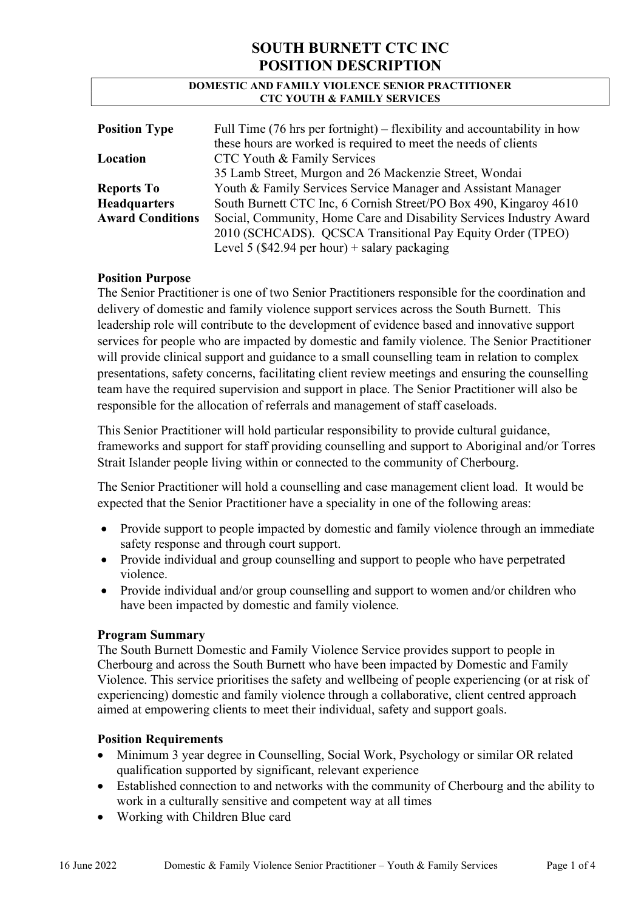#### DOMESTIC AND FAMILY VIOLENCE SENIOR PRACTITIONER CTC YOUTH & FAMILY SERVICES

| <b>Position Type</b>    | Full Time $(76 \text{ hrs per fortnight})$ – flexibility and accountability in how |
|-------------------------|------------------------------------------------------------------------------------|
|                         | these hours are worked is required to meet the needs of clients                    |
| Location                | CTC Youth & Family Services                                                        |
|                         | 35 Lamb Street, Murgon and 26 Mackenzie Street, Wondai                             |
| <b>Reports To</b>       | Youth & Family Services Service Manager and Assistant Manager                      |
| <b>Headquarters</b>     | South Burnett CTC Inc, 6 Cornish Street/PO Box 490, Kingaroy 4610                  |
| <b>Award Conditions</b> | Social, Community, Home Care and Disability Services Industry Award                |
|                         | 2010 (SCHCADS). QCSCA Transitional Pay Equity Order (TPEO)                         |
|                         | Level 5 (\$42.94 per hour) + salary packaging                                      |

### Position Purpose

The Senior Practitioner is one of two Senior Practitioners responsible for the coordination and delivery of domestic and family violence support services across the South Burnett. This leadership role will contribute to the development of evidence based and innovative support services for people who are impacted by domestic and family violence. The Senior Practitioner will provide clinical support and guidance to a small counselling team in relation to complex presentations, safety concerns, facilitating client review meetings and ensuring the counselling team have the required supervision and support in place. The Senior Practitioner will also be responsible for the allocation of referrals and management of staff caseloads.

This Senior Practitioner will hold particular responsibility to provide cultural guidance, frameworks and support for staff providing counselling and support to Aboriginal and/or Torres Strait Islander people living within or connected to the community of Cherbourg.

The Senior Practitioner will hold a counselling and case management client load. It would be expected that the Senior Practitioner have a speciality in one of the following areas:

- Provide support to people impacted by domestic and family violence through an immediate safety response and through court support.
- Provide individual and group counselling and support to people who have perpetrated violence.
- Provide individual and/or group counselling and support to women and/or children who have been impacted by domestic and family violence.

#### Program Summary

The South Burnett Domestic and Family Violence Service provides support to people in Cherbourg and across the South Burnett who have been impacted by Domestic and Family Violence. This service prioritises the safety and wellbeing of people experiencing (or at risk of experiencing) domestic and family violence through a collaborative, client centred approach aimed at empowering clients to meet their individual, safety and support goals.

## Position Requirements

- Minimum 3 year degree in Counselling, Social Work, Psychology or similar OR related qualification supported by significant, relevant experience
- Established connection to and networks with the community of Cherbourg and the ability to work in a culturally sensitive and competent way at all times
- Working with Children Blue card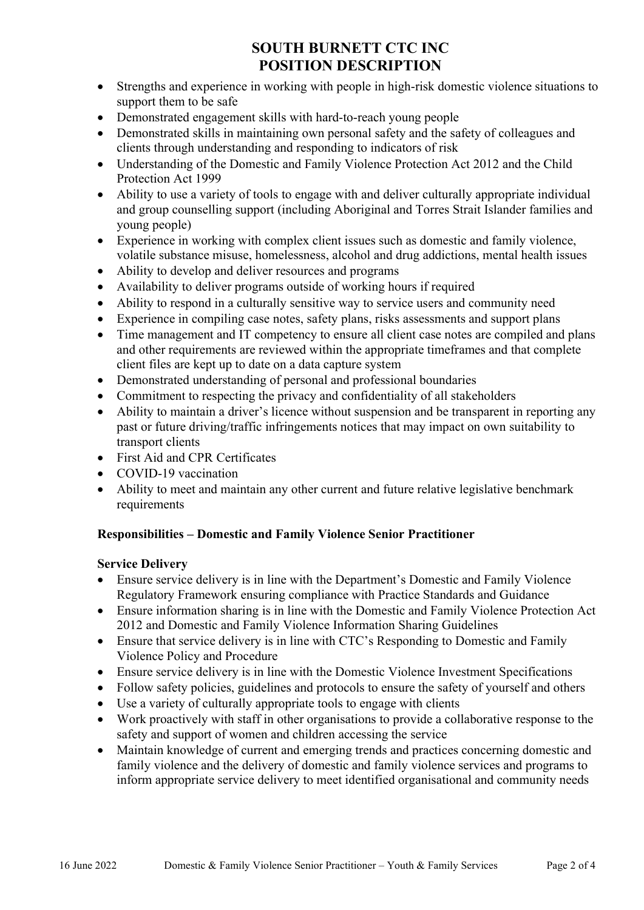- Strengths and experience in working with people in high-risk domestic violence situations to support them to be safe
- Demonstrated engagement skills with hard-to-reach young people
- Demonstrated skills in maintaining own personal safety and the safety of colleagues and clients through understanding and responding to indicators of risk
- Understanding of the Domestic and Family Violence Protection Act 2012 and the Child Protection Act 1999
- Ability to use a variety of tools to engage with and deliver culturally appropriate individual and group counselling support (including Aboriginal and Torres Strait Islander families and young people)
- Experience in working with complex client issues such as domestic and family violence, volatile substance misuse, homelessness, alcohol and drug addictions, mental health issues
- Ability to develop and deliver resources and programs
- Availability to deliver programs outside of working hours if required
- Ability to respond in a culturally sensitive way to service users and community need
- Experience in compiling case notes, safety plans, risks assessments and support plans
- Time management and IT competency to ensure all client case notes are compiled and plans and other requirements are reviewed within the appropriate timeframes and that complete client files are kept up to date on a data capture system
- Demonstrated understanding of personal and professional boundaries
- Commitment to respecting the privacy and confidentiality of all stakeholders
- Ability to maintain a driver's licence without suspension and be transparent in reporting any past or future driving/traffic infringements notices that may impact on own suitability to transport clients
- First Aid and CPR Certificates
- COVID-19 vaccination
- Ability to meet and maintain any other current and future relative legislative benchmark requirements

## Responsibilities – Domestic and Family Violence Senior Practitioner

## Service Delivery

- Ensure service delivery is in line with the Department's Domestic and Family Violence Regulatory Framework ensuring compliance with Practice Standards and Guidance
- Ensure information sharing is in line with the Domestic and Family Violence Protection Act 2012 and Domestic and Family Violence Information Sharing Guidelines
- Ensure that service delivery is in line with CTC's Responding to Domestic and Family Violence Policy and Procedure
- Ensure service delivery is in line with the Domestic Violence Investment Specifications
- Follow safety policies, guidelines and protocols to ensure the safety of yourself and others
- Use a variety of culturally appropriate tools to engage with clients
- Work proactively with staff in other organisations to provide a collaborative response to the safety and support of women and children accessing the service
- Maintain knowledge of current and emerging trends and practices concerning domestic and family violence and the delivery of domestic and family violence services and programs to inform appropriate service delivery to meet identified organisational and community needs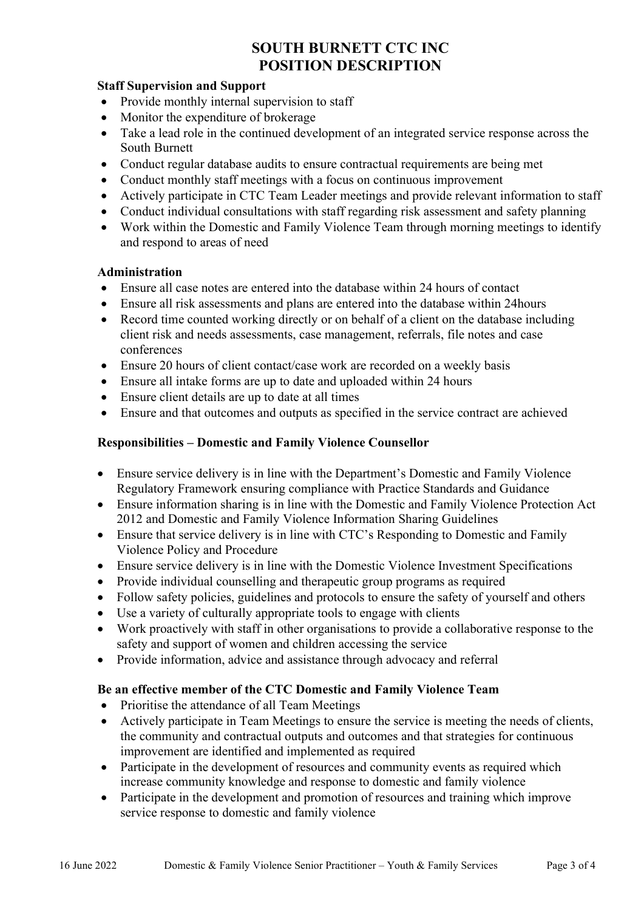### Staff Supervision and Support

- Provide monthly internal supervision to staff
- Monitor the expenditure of brokerage
- Take a lead role in the continued development of an integrated service response across the South Burnett
- Conduct regular database audits to ensure contractual requirements are being met
- Conduct monthly staff meetings with a focus on continuous improvement
- Actively participate in CTC Team Leader meetings and provide relevant information to staff
- Conduct individual consultations with staff regarding risk assessment and safety planning
- Work within the Domestic and Family Violence Team through morning meetings to identify and respond to areas of need

### Administration

- Ensure all case notes are entered into the database within 24 hours of contact
- Ensure all risk assessments and plans are entered into the database within 24hours
- Record time counted working directly or on behalf of a client on the database including client risk and needs assessments, case management, referrals, file notes and case conferences
- Ensure 20 hours of client contact/case work are recorded on a weekly basis
- Ensure all intake forms are up to date and uploaded within 24 hours
- Ensure client details are up to date at all times
- Ensure and that outcomes and outputs as specified in the service contract are achieved

## Responsibilities – Domestic and Family Violence Counsellor

- Ensure service delivery is in line with the Department's Domestic and Family Violence Regulatory Framework ensuring compliance with Practice Standards and Guidance
- Ensure information sharing is in line with the Domestic and Family Violence Protection Act 2012 and Domestic and Family Violence Information Sharing Guidelines
- Ensure that service delivery is in line with CTC's Responding to Domestic and Family Violence Policy and Procedure
- Ensure service delivery is in line with the Domestic Violence Investment Specifications
- Provide individual counselling and therapeutic group programs as required
- Follow safety policies, guidelines and protocols to ensure the safety of yourself and others
- Use a variety of culturally appropriate tools to engage with clients
- Work proactively with staff in other organisations to provide a collaborative response to the safety and support of women and children accessing the service
- Provide information, advice and assistance through advocacy and referral

## Be an effective member of the CTC Domestic and Family Violence Team

- Prioritise the attendance of all Team Meetings
- Actively participate in Team Meetings to ensure the service is meeting the needs of clients, the community and contractual outputs and outcomes and that strategies for continuous improvement are identified and implemented as required
- Participate in the development of resources and community events as required which increase community knowledge and response to domestic and family violence
- Participate in the development and promotion of resources and training which improve service response to domestic and family violence